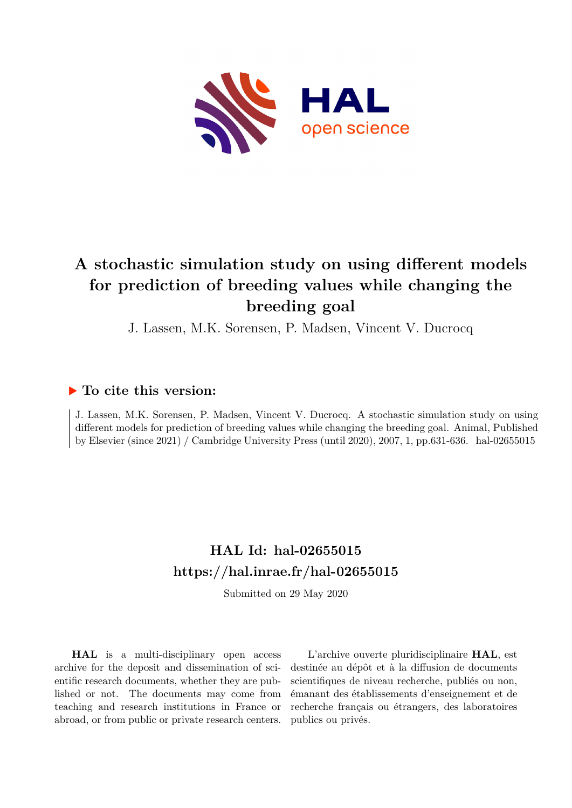

# **A stochastic simulation study on using different models for prediction of breeding values while changing the breeding goal**

J. Lassen, M.K. Sorensen, P. Madsen, Vincent V. Ducrocq

### **To cite this version:**

J. Lassen, M.K. Sorensen, P. Madsen, Vincent V. Ducrocq. A stochastic simulation study on using different models for prediction of breeding values while changing the breeding goal. Animal, Published by Elsevier (since 2021) / Cambridge University Press (until 2020), 2007, 1, pp.631-636. hal-02655015

## **HAL Id: hal-02655015 <https://hal.inrae.fr/hal-02655015>**

Submitted on 29 May 2020

**HAL** is a multi-disciplinary open access archive for the deposit and dissemination of scientific research documents, whether they are published or not. The documents may come from teaching and research institutions in France or abroad, or from public or private research centers.

L'archive ouverte pluridisciplinaire **HAL**, est destinée au dépôt et à la diffusion de documents scientifiques de niveau recherche, publiés ou non, émanant des établissements d'enseignement et de recherche français ou étrangers, des laboratoires publics ou privés.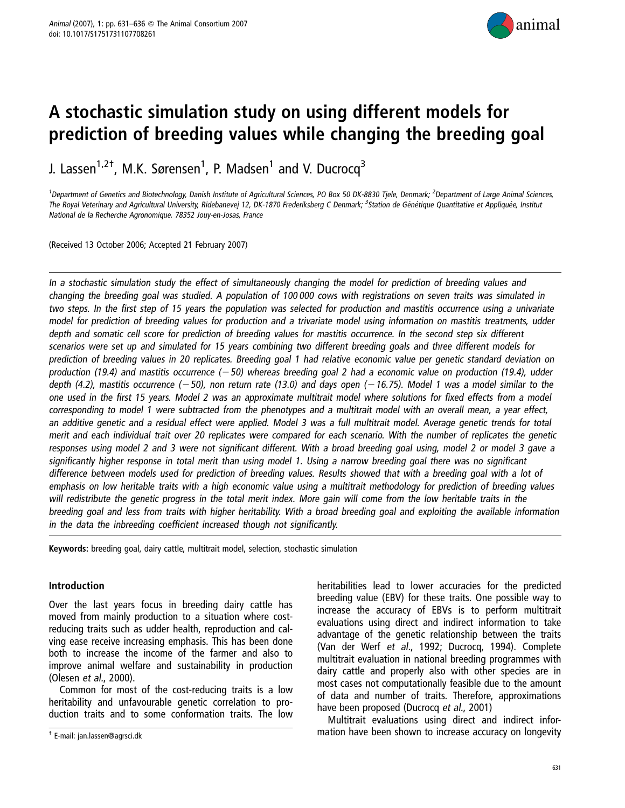

# A stochastic simulation study on using different models for prediction of breeding values while changing the breeding goal

J. Lassen<sup>1,2†</sup>, M.K. Sørensen<sup>1</sup>, P. Madsen<sup>1</sup> and V. Ducrocq<sup>3</sup>

<sup>1</sup>Department of Genetics and Biotechnology, Danish Institute of Agricultural Sciences, PO Box 50 DK-8830 Tjele, Denmark; <sup>2</sup>Department of Large Animal Sciences, The Royal Veterinary and Agricultural University, Ridebanevej 12, DK-1870 Frederiksberg C Denmark; <sup>3</sup>Station de Génétique Quantitative et Appliquée, Institut National de la Recherche Agronomique. 78352 Jouy-en-Josas, France

(Received 13 October 2006; Accepted 21 February 2007)

In <sup>a</sup> stochastic simulation study the effect of simultaneously changing the model for prediction of breeding values and changing the breeding goal was studied. A population of 100 000 cows with registrations on seven traits was simulated in two steps. In the first step of 15 years the population was selected for production and mastitis occurrence using <sup>a</sup> univariate model for prediction of breeding values for production and <sup>a</sup> trivariate model using information on mastitis treatments, udder depth and somatic cell score for prediction of breeding values for mastitis occurrence. In the second step six different scenarios were set up and simulated for 15 years combining two different breeding goals and three different models for prediction of breeding values in 20 replicates. Breeding goal 1 had relative economic value per genetic standard deviation on production (19.4) and mastitis occurrence  $(-50)$  whereas breeding goal 2 had a economic value on production (19.4), udder depth (4.2), mastitis occurrence ( $-50$ ), non return rate (13.0) and days open ( $-16.75$ ). Model 1 was a model similar to the one used in the first 15 years. Model 2 was an approximate multitrait model where solutions for fixed effects from <sup>a</sup> model corresponding to model 1 were subtracted from the phenotypes and <sup>a</sup> multitrait model with an overall mean, <sup>a</sup> year effect, an additive genetic and <sup>a</sup> residual effect were applied. Model 3 was <sup>a</sup> full multitrait model. Average genetic trends for total merit and each individual trait over 20 replicates were compared for each scenario. With the number of replicates the genetic responses using model 2 and 3 were not significant different. With <sup>a</sup> broad breeding goal using, model 2 or model 3 gave <sup>a</sup> significantly higher response in total merit than using model 1. Using <sup>a</sup> narrow breeding goal there was no significant difference between models used for prediction of breeding values. Results showed that with <sup>a</sup> breeding goal with <sup>a</sup> lot of emphasis on low heritable traits with <sup>a</sup> high economic value using <sup>a</sup> multitrait methodology for prediction of breeding values will redistribute the genetic progress in the total merit index. More gain will come from the low heritable traits in the breeding goal and less from traits with higher heritability. With <sup>a</sup> broad breeding goal and exploiting the available information in the data the inbreeding coefficient increased though not significantly.

Keywords: breeding goal, dairy cattle, multitrait model, selection, stochastic simulation

#### Introduction

Over the last years focus in breeding dairy cattle has moved from mainly production to a situation where costreducing traits such as udder health, reproduction and calving ease receive increasing emphasis. This has been done both to increase the income of the farmer and also to improve animal welfare and sustainability in production (Olesen et al., 2000).

Common for most of the cost-reducing traits is a low heritability and unfavourable genetic correlation to production traits and to some conformation traits. The low heritabilities lead to lower accuracies for the predicted breeding value (EBV) for these traits. One possible way to increase the accuracy of EBVs is to perform multitrait evaluations using direct and indirect information to take advantage of the genetic relationship between the traits (Van der Werf et al., 1992; Ducrocq, 1994). Complete multitrait evaluation in national breeding programmes with dairy cattle and properly also with other species are in most cases not computationally feasible due to the amount of data and number of traits. Therefore, approximations have been proposed (Ducrocq et al., 2001)

Multitrait evaluations using direct and indirect infor-  $\frac{1}{T}$  E-mail: jan.lassen@agrsci.dk examples accuracy on longevity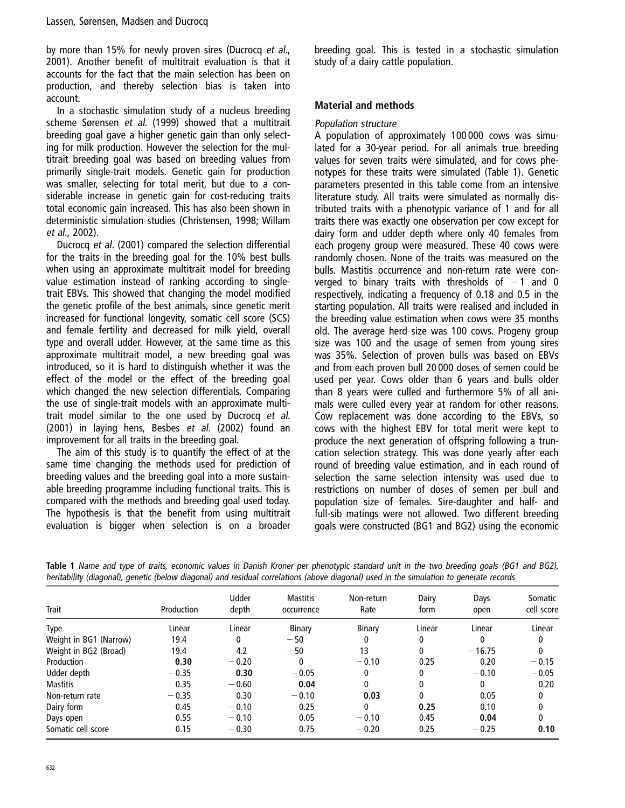by more than 15% for newly proven sires (Ducrocq et al., 2001). Another benefit of multitrait evaluation is that it accounts for the fact that the main selection has been on production, and thereby selection bias is taken into account.

In a stochastic simulation study of a nucleus breeding scheme Sørensen et al. (1999) showed that a multitrait breeding goal gave a higher genetic gain than only selecting for milk production. However the selection for the multitrait breeding goal was based on breeding values from primarily single-trait models. Genetic gain for production was smaller, selecting for total merit, but due to a considerable increase in genetic gain for cost-reducing traits total economic gain increased. This has also been shown in deterministic simulation studies (Christensen, 1998; Willam et al., 2002).

Ducrocq et al. (2001) compared the selection differential for the traits in the breeding goal for the 10% best bulls when using an approximate multitrait model for breeding value estimation instead of ranking according to singletrait EBVs. This showed that changing the model modified the genetic profile of the best animals, since genetic merit increased for functional longevity, somatic cell score (SCS) and female fertility and decreased for milk yield, overall type and overall udder. However, at the same time as this approximate multitrait model, a new breeding goal was introduced, so it is hard to distinguish whether it was the effect of the model or the effect of the breeding goal which changed the new selection differentials. Comparing the use of single-trait models with an approximate multitrait model similar to the one used by Ducrocq et al. (2001) in laying hens, Besbes et al. (2002) found an improvement for all traits in the breeding goal.

The aim of this study is to quantify the effect of at the same time changing the methods used for prediction of breeding values and the breeding goal into a more sustainable breeding programme including functional traits. This is compared with the methods and breeding goal used today. The hypothesis is that the benefit from using multitrait evaluation is bigger when selection is on a broader breeding goal. This is tested in a stochastic simulation study of a dairy cattle population.

#### Material and methods

#### Population structure

A population of approximately 100 000 cows was simulated for a 30-year period. For all animals true breeding values for seven traits were simulated, and for cows phenotypes for these traits were simulated (Table 1). Genetic parameters presented in this table come from an intensive literature study. All traits were simulated as normally distributed traits with a phenotypic variance of 1 and for all traits there was exactly one observation per cow except for dairy form and udder depth where only 40 females from each progeny group were measured. These 40 cows were randomly chosen. None of the traits was measured on the bulls. Mastitis occurrence and non-return rate were converged to binary traits with thresholds of  $-1$  and 0 respectively, indicating a frequency of 0.18 and 0.5 in the starting population. All traits were realised and included in the breeding value estimation when cows were 35 months old. The average herd size was 100 cows. Progeny group size was 100 and the usage of semen from young sires was 35%. Selection of proven bulls was based on EBVs and from each proven bull 20 000 doses of semen could be used per year. Cows older than 6 years and bulls older than 8 years were culled and furthermore 5% of all animals were culled every year at random for other reasons. Cow replacement was done according to the EBVs, so cows with the highest EBV for total merit were kept to produce the next generation of offspring following a truncation selection strategy. This was done yearly after each round of breeding value estimation, and in each round of selection the same selection intensity was used due to restrictions on number of doses of semen per bull and population size of females. Sire-daughter and half- and full-sib matings were not allowed. Two different breeding goals were constructed (BG1 and BG2) using the economic

| <b>Trait</b>           | Production | Udder<br>depth | <b>Mastitis</b><br>occurrence | Non-return<br>Rate | Dairy<br>form | Days<br>open | Somatic<br>cell score |
|------------------------|------------|----------------|-------------------------------|--------------------|---------------|--------------|-----------------------|
|                        |            |                |                               |                    |               |              |                       |
| Type                   | Linear     | Linear         | Binary                        | Binary             | Linear        | Linear       | Linear                |
| Weight in BG1 (Narrow) | 19.4       | 0              | $-50$                         | 0                  | 0             | 0            | 0                     |
| Weight in BG2 (Broad)  | 19.4       | 4.2            | $-50$                         | 13                 | 0             | $-16.75$     | 0                     |
| Production             | 0.30       | $-0.20$        | 0                             | $-0.10$            | 0.25          | 0.20         | $-0.15$               |
| Udder depth            | $-0.35$    | 0.30           | $-0.05$                       | 0                  | $\mathbf{0}$  | $-0.10$      | $-0.05$               |
| <b>Mastitis</b>        | 0.35       | $-0.60$        | 0.04                          | 0                  | $\mathbf{0}$  | 0            | 0.20                  |
| Non-return rate        | $-0.35$    | 0.30           | $-0.10$                       | 0.03               | $\Omega$      | 0.05         | 0                     |
| Dairy form             | 0.45       | $-0.10$        | 0.25                          | 0                  | 0.25          | 0.10         | 0                     |
| Days open              | 0.55       | $-0.10$        | 0.05                          | $-0.10$            | 0.45          | 0.04         | 0                     |
| Somatic cell score     | 0.15       | $-0.30$        | 0.75                          | $-0.20$            | 0.25          | $-0.25$      | 0.10                  |

Table 1 Name and type of traits, economic values in Danish Kroner per phenotypic standard unit in the two breeding goals (BG1 and BG2), heritability (diagonal), genetic (below diagonal) and residual correlations (above diagonal) used in the simulation to generate records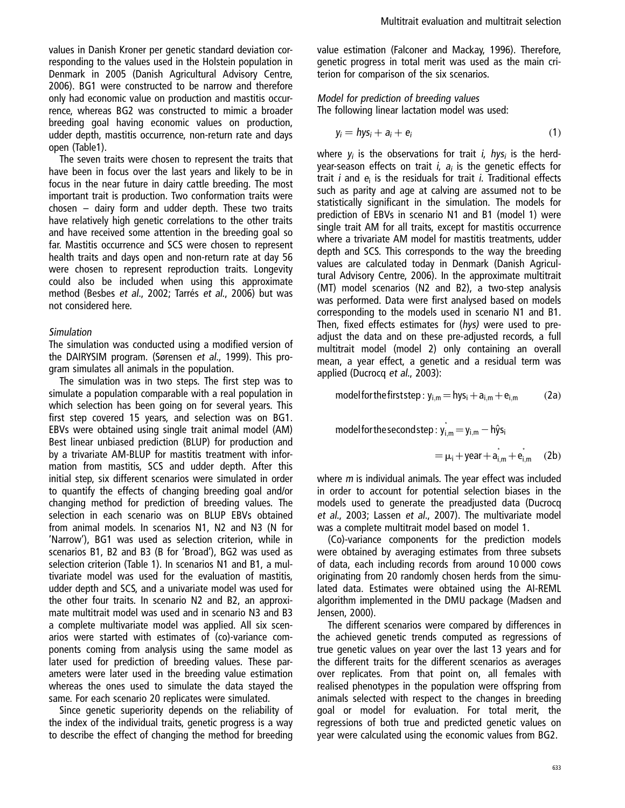values in Danish Kroner per genetic standard deviation corresponding to the values used in the Holstein population in Denmark in 2005 (Danish Agricultural Advisory Centre, 2006). BG1 were constructed to be narrow and therefore only had economic value on production and mastitis occurrence, whereas BG2 was constructed to mimic a broader breeding goal having economic values on production, udder depth, mastitis occurrence, non-return rate and days open (Table1).

The seven traits were chosen to represent the traits that have been in focus over the last years and likely to be in focus in the near future in dairy cattle breeding. The most important trait is production. Two conformation traits were chosen – dairy form and udder depth. These two traits have relatively high genetic correlations to the other traits and have received some attention in the breeding goal so far. Mastitis occurrence and SCS were chosen to represent health traits and days open and non-return rate at day 56 were chosen to represent reproduction traits. Longevity could also be included when using this approximate method (Besbes et al., 2002; Tarrés et al., 2006) but was not considered here.

#### Simulation

The simulation was conducted using a modified version of the DAIRYSIM program. (Sørensen et al., 1999). This program simulates all animals in the population.

The simulation was in two steps. The first step was to simulate a population comparable with a real population in which selection has been going on for several years. This first step covered 15 years, and selection was on BG1. EBVs were obtained using single trait animal model (AM) Best linear unbiased prediction (BLUP) for production and by a trivariate AM-BLUP for mastitis treatment with information from mastitis, SCS and udder depth. After this initial step, six different scenarios were simulated in order to quantify the effects of changing breeding goal and/or changing method for prediction of breeding values. The selection in each scenario was on BLUP EBVs obtained from animal models. In scenarios N1, N2 and N3 (N for 'Narrow'), BG1 was used as selection criterion, while in scenarios B1, B2 and B3 (B for 'Broad'), BG2 was used as selection criterion (Table 1). In scenarios N1 and B1, a multivariate model was used for the evaluation of mastitis, udder depth and SCS, and a univariate model was used for the other four traits. In scenario N2 and B2, an approximate multitrait model was used and in scenario N3 and B3 a complete multivariate model was applied. All six scenarios were started with estimates of (co)-variance components coming from analysis using the same model as later used for prediction of breeding values. These parameters were later used in the breeding value estimation whereas the ones used to simulate the data stayed the same. For each scenario 20 replicates were simulated.

Since genetic superiority depends on the reliability of the index of the individual traits, genetic progress is a way to describe the effect of changing the method for breeding value estimation (Falconer and Mackay, 1996). Therefore, genetic progress in total merit was used as the main criterion for comparison of the six scenarios.

Model for prediction of breeding values The following linear lactation model was used:

$$
y_i = hys_i + a_i + e_i \tag{1}
$$

where  $y_i$  is the observations for trait *i*, hys<sub>i</sub> is the herdyear-season effects on trait  $i$ ,  $a_i$  is the genetic effects for trait  $i$  and  $e_i$  is the residuals for trait  $i$ . Traditional effects such as parity and age at calving are assumed not to be statistically significant in the simulation. The models for prediction of EBVs in scenario N1 and B1 (model 1) were single trait AM for all traits, except for mastitis occurrence where a trivariate AM model for mastitis treatments, udder depth and SCS. This corresponds to the way the breeding values are calculated today in Denmark (Danish Agricultural Advisory Centre, 2006). In the approximate multitrait (MT) model scenarios (N2 and B2), a two-step analysis was performed. Data were first analysed based on models corresponding to the models used in scenario N1 and B1. Then, fixed effects estimates for (hys) were used to preadjust the data and on these pre-adjusted records, a full multitrait model (model 2) only containing an overall mean, a year effect, a genetic and a residual term was applied (Ducrocq et al., 2003):

$$
model for the first step: y_{i,m} = hys_i + a_{i,m} + e_{i,m}
$$
 (2a)

model for the second step  $:\check{\mathsf{y}}_{\mathsf{i},\mathsf{m}}^{\mathsf{i}} = \mathsf{y}_{\mathsf{i},\mathsf{m}} - \mathsf{h} \hat{\mathsf{y}}$ s $_\mathsf{i}$ 

$$
= \mu_i + \text{year} + a_{i,m}^{\dagger} + e_{i,m}^{\dagger} \quad (2b)
$$

where *m* is individual animals. The year effect was included in order to account for potential selection biases in the models used to generate the preadjusted data (Ducrocq et al., 2003; Lassen et al., 2007). The multivariate model was a complete multitrait model based on model 1.

(Co)-variance components for the prediction models were obtained by averaging estimates from three subsets of data, each including records from around 10 000 cows originating from 20 randomly chosen herds from the simulated data. Estimates were obtained using the AI-REML algorithm implemented in the DMU package (Madsen and Jensen, 2000).

The different scenarios were compared by differences in the achieved genetic trends computed as regressions of true genetic values on year over the last 13 years and for the different traits for the different scenarios as averages over replicates. From that point on, all females with realised phenotypes in the population were offspring from animals selected with respect to the changes in breeding goal or model for evaluation. For total merit, the regressions of both true and predicted genetic values on year were calculated using the economic values from BG2.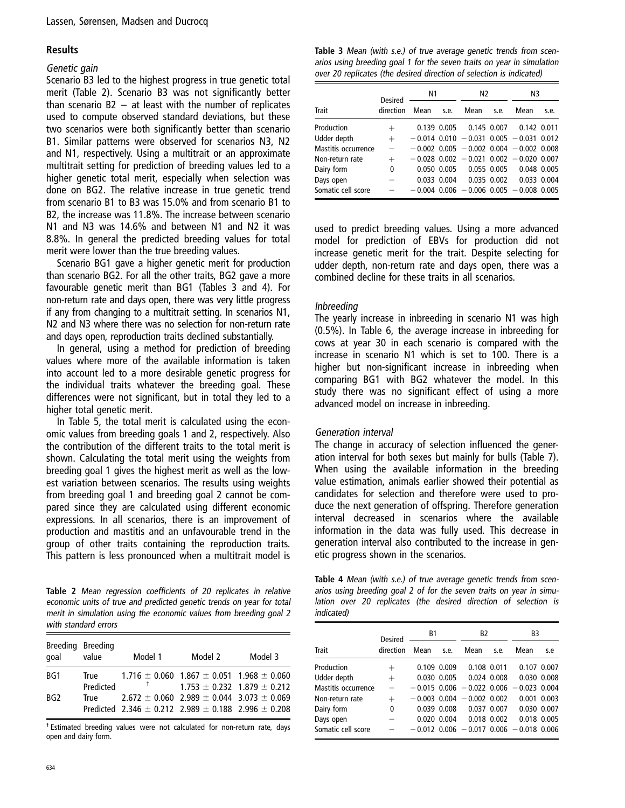#### **Results**

#### Genetic gain

Scenario B3 led to the highest progress in true genetic total merit (Table 2). Scenario B3 was not significantly better than scenario B2 – at least with the number of replicates used to compute observed standard deviations, but these two scenarios were both significantly better than scenario B1. Similar patterns were observed for scenarios N3, N2 and N1, respectively. Using a multitrait or an approximate multitrait setting for prediction of breeding values led to a higher genetic total merit, especially when selection was done on BG2. The relative increase in true genetic trend from scenario B1 to B3 was 15.0% and from scenario B1 to B2, the increase was 11.8%. The increase between scenario N1 and N3 was 14.6% and between N1 and N2 it was 8.8%. In general the predicted breeding values for total merit were lower than the true breeding values.

Scenario BG1 gave a higher genetic merit for production than scenario BG2. For all the other traits, BG2 gave a more favourable genetic merit than BG1 (Tables 3 and 4). For non-return rate and days open, there was very little progress if any from changing to a multitrait setting. In scenarios N1, N2 and N3 where there was no selection for non-return rate and days open, reproduction traits declined substantially.

In general, using a method for prediction of breeding values where more of the available information is taken into account led to a more desirable genetic progress for the individual traits whatever the breeding goal. These differences were not significant, but in total they led to a higher total genetic merit.

In Table 5, the total merit is calculated using the economic values from breeding goals 1 and 2, respectively. Also the contribution of the different traits to the total merit is shown. Calculating the total merit using the weights from breeding goal 1 gives the highest merit as well as the lowest variation between scenarios. The results using weights from breeding goal 1 and breeding goal 2 cannot be compared since they are calculated using different economic expressions. In all scenarios, there is an improvement of production and mastitis and an unfavourable trend in the group of other traits containing the reproduction traits. This pattern is less pronounced when a multitrait model is

Table 2 Mean regression coefficients of 20 replicates in relative economic units of true and predicted genetic trends on year for total merit in simulation using the economic values from breeding goal 2 with standard errors

| Breeding Breeding<br>qoal | value             | Model 1 | Model 2                                                                                                                  | Model 3 |
|---------------------------|-------------------|---------|--------------------------------------------------------------------------------------------------------------------------|---------|
| BG1                       | True<br>Predicted |         | $1.716 \pm 0.060$ $1.867 \pm 0.051$ $1.968 \pm 0.060$<br>$1.753 \pm 0.232$ $1.879 \pm 0.212$                             |         |
| BG2                       | True              |         | $2.672 \pm 0.060$ 2.989 $\pm$ 0.044 3.073 $\pm$ 0.069<br>Predicted 2.346 $\pm$ 0.212 2.989 $\pm$ 0.188 2.996 $\pm$ 0.208 |         |

† Estimated breeding values were not calculated for non-return rate, days open and dairy form.

Table 3 Mean (with s.e.) of true average genetic trends from scenarios using breeding goal 1 for the seven traits on year in simulation over 20 replicates (the desired direction of selection is indicated)

|                     | <b>Desired</b> | N1   |             | N <sub>2</sub>                               |             | N3                      |      |
|---------------------|----------------|------|-------------|----------------------------------------------|-------------|-------------------------|------|
| <b>Trait</b>        | direction      | Mean | s.e.        | Mean                                         | s.e.        | Mean                    | s.e. |
| Production          | $^+$           |      | 0.139 0.005 |                                              |             | 0.145 0.007 0.142 0.011 |      |
| Udder depth         | $^{+}$         |      |             | $-0.014$ 0.010 $-0.031$ 0.005 $-0.031$ 0.012 |             |                         |      |
| Mastitis occurrence | $\equiv$       |      |             | $-0.002$ 0.005 $-0.002$ 0.004 $-0.002$ 0.008 |             |                         |      |
| Non-return rate     | $^{+}$         |      |             | $-0.028$ 0.002 $-0.021$ 0.002 $-0.020$ 0.007 |             |                         |      |
| Dairy form          | 0              |      | 0.050 0.005 |                                              | 0.055 0.005 | 0.048 0.005             |      |
| Days open           |                |      | 0.033 0.004 |                                              | 0.035 0.002 | 0.033 0.004             |      |
| Somatic cell score  |                |      |             | $-0.004$ 0.006 $-0.006$ 0.005 $-0.008$ 0.005 |             |                         |      |

used to predict breeding values. Using a more advanced model for prediction of EBVs for production did not increase genetic merit for the trait. Despite selecting for udder depth, non-return rate and days open, there was a combined decline for these traits in all scenarios.

#### Inbreeding

The yearly increase in inbreeding in scenario N1 was high (0.5%). In Table 6, the average increase in inbreeding for cows at year 30 in each scenario is compared with the increase in scenario N1 which is set to 100. There is a higher but non-significant increase in inbreeding when comparing BG1 with BG2 whatever the model. In this study there was no significant effect of using a more advanced model on increase in inbreeding.

#### Generation interval

The change in accuracy of selection influenced the generation interval for both sexes but mainly for bulls (Table 7). When using the available information in the breeding value estimation, animals earlier showed their potential as candidates for selection and therefore were used to produce the next generation of offspring. Therefore generation interval decreased in scenarios where the available information in the data was fully used. This decrease in generation interval also contributed to the increase in genetic progress shown in the scenarios.

Table 4 Mean (with s.e.) of true average genetic trends from scenarios using breeding goal 2 of for the seven traits on year in simulation over 20 replicates (the desired direction of selection is indicated)

|                     | <b>Desired</b> | <b>B1</b>      |                 | B <sub>2</sub>                               |                 | B3          |       |
|---------------------|----------------|----------------|-----------------|----------------------------------------------|-----------------|-------------|-------|
| <b>Trait</b>        | direction      | Mean           | s.e.            | Mean                                         | s.e.            | Mean        | s.e   |
| Production          | $^{+}$         |                | 0.109 0.009     | 0.108 0.011                                  |                 | 0.107       | 0.007 |
| Udder depth         | $^{+}$         |                | 0.030 0.005     |                                              | $0.024$ $0.008$ | 0.030 0.008 |       |
| Mastitis occurrence |                |                |                 | $-0.015$ 0.006 $-0.022$ 0.006 $-0.023$ 0.004 |                 |             |       |
| Non-return rate     | $^{+}$         | $-0.003$ 0.004 |                 | $-0.002$ 0.002                               |                 | 0.001       | 0.003 |
| Dairy form          | 0              |                | $0.039$ $0.008$ |                                              | 0.037 0.007     | 0.030 0.007 |       |
| Days open           |                |                | 0.020 0.004     | 0.018 0.002                                  |                 | 0.018 0.005 |       |
| Somatic cell score  |                |                |                 | $-0.012$ 0.006 $-0.017$ 0.006 $-0.018$ 0.006 |                 |             |       |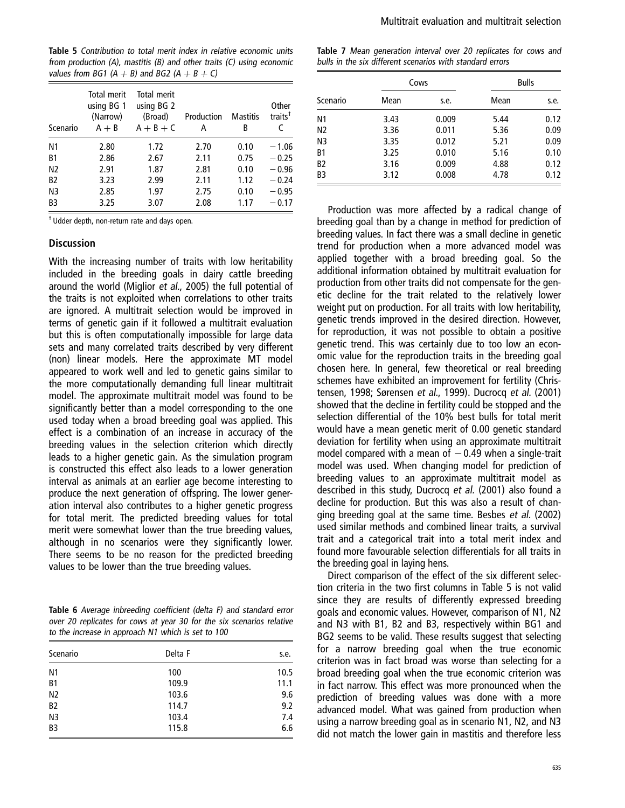Table 5 Contribution to total merit index in relative economic units from production (A), mastitis (B) and other traits (C) using economic values from BG1 (A  $+$  B) and BG2 (A  $+$  B  $+$  C)

| Scenario       | Total merit<br>using BG 1<br>(Narrow)<br>$A + B$ | Total merit<br>using BG 2<br>(Broad)<br>$A + B + C$ | Production<br>А | <b>Mastitis</b><br>В | Other<br>traits <sup>†</sup> |
|----------------|--------------------------------------------------|-----------------------------------------------------|-----------------|----------------------|------------------------------|
| N <sub>1</sub> | 2.80                                             | 1.72                                                | 2.70            | 0.10                 | $-1.06$                      |
| <b>B1</b>      | 2.86                                             | 2.67                                                | 2.11            | 0.75                 | $-0.25$                      |
| N <sub>2</sub> | 2.91                                             | 1.87                                                | 2.81            | 0.10                 | $-0.96$                      |
| <b>B2</b>      | 3.23                                             | 2.99                                                | 2.11            | 1.12                 | $-0.24$                      |
| N <sub>3</sub> | 2.85                                             | 1.97                                                | 2.75            | 0.10                 | $-0.95$                      |
| B <sub>3</sub> | 3.25                                             | 3.07                                                | 2.08            | 1.17                 | $-0.17$                      |

† Udder depth, non-return rate and days open.

#### **Discussion**

With the increasing number of traits with low heritability included in the breeding goals in dairy cattle breeding around the world (Miglior et al., 2005) the full potential of the traits is not exploited when correlations to other traits are ignored. A multitrait selection would be improved in terms of genetic gain if it followed a multitrait evaluation but this is often computationally impossible for large data sets and many correlated traits described by very different (non) linear models. Here the approximate MT model appeared to work well and led to genetic gains similar to the more computationally demanding full linear multitrait model. The approximate multitrait model was found to be significantly better than a model corresponding to the one used today when a broad breeding goal was applied. This effect is a combination of an increase in accuracy of the breeding values in the selection criterion which directly leads to a higher genetic gain. As the simulation program is constructed this effect also leads to a lower generation interval as animals at an earlier age become interesting to produce the next generation of offspring. The lower generation interval also contributes to a higher genetic progress for total merit. The predicted breeding values for total merit were somewhat lower than the true breeding values, although in no scenarios were they significantly lower. There seems to be no reason for the predicted breeding values to be lower than the true breeding values.

Table 6 Average inbreeding coefficient (delta F) and standard error over 20 replicates for cows at year 30 for the six scenarios relative to the increase in approach N1 which is set to 100

| Scenario       | Delta F | s.e. |
|----------------|---------|------|
| N <sub>1</sub> | 100     | 10.5 |
| B <sub>1</sub> | 109.9   | 11.1 |
| N <sub>2</sub> | 103.6   | 9.6  |
| B <sub>2</sub> | 114.7   | 9.2  |
| N <sub>3</sub> | 103.4   | 7.4  |
| B <sub>3</sub> | 115.8   | 6.6  |

Table 7 Mean generation interval over 20 replicates for cows and bulls in the six different scenarios with standard errors

|                |      | Cows  | <b>Bulls</b> |      |
|----------------|------|-------|--------------|------|
| Scenario       | Mean | s.e.  | Mean         | s.e. |
| N1             | 3.43 | 0.009 | 5.44         | 0.12 |
| N <sub>2</sub> | 3.36 | 0.011 | 5.36         | 0.09 |
| N <sub>3</sub> | 3.35 | 0.012 | 5.21         | 0.09 |
| B1             | 3.25 | 0.010 | 5.16         | 0.10 |
| B <sub>2</sub> | 3.16 | 0.009 | 4.88         | 0.12 |
| B <sub>3</sub> | 3.12 | 0.008 | 4.78         | 0.12 |

Production was more affected by a radical change of breeding goal than by a change in method for prediction of breeding values. In fact there was a small decline in genetic trend for production when a more advanced model was applied together with a broad breeding goal. So the additional information obtained by multitrait evaluation for production from other traits did not compensate for the genetic decline for the trait related to the relatively lower weight put on production. For all traits with low heritability, genetic trends improved in the desired direction. However, for reproduction, it was not possible to obtain a positive genetic trend. This was certainly due to too low an economic value for the reproduction traits in the breeding goal chosen here. In general, few theoretical or real breeding schemes have exhibited an improvement for fertility (Christensen, 1998; Sørensen et al., 1999). Ducrocq et al. (2001) showed that the decline in fertility could be stopped and the selection differential of the 10% best bulls for total merit would have a mean genetic merit of 0.00 genetic standard deviation for fertility when using an approximate multitrait model compared with a mean of  $-0.49$  when a single-trait model was used. When changing model for prediction of breeding values to an approximate multitrait model as described in this study, Ducrocq et al. (2001) also found a decline for production. But this was also a result of changing breeding goal at the same time. Besbes et al. (2002) used similar methods and combined linear traits, a survival trait and a categorical trait into a total merit index and found more favourable selection differentials for all traits in the breeding goal in laying hens.

Direct comparison of the effect of the six different selection criteria in the two first columns in Table 5 is not valid since they are results of differently expressed breeding goals and economic values. However, comparison of N1, N2 and N3 with B1, B2 and B3, respectively within BG1 and BG2 seems to be valid. These results suggest that selecting for a narrow breeding goal when the true economic criterion was in fact broad was worse than selecting for a broad breeding goal when the true economic criterion was in fact narrow. This effect was more pronounced when the prediction of breeding values was done with a more advanced model. What was gained from production when using a narrow breeding goal as in scenario N1, N2, and N3 did not match the lower gain in mastitis and therefore less